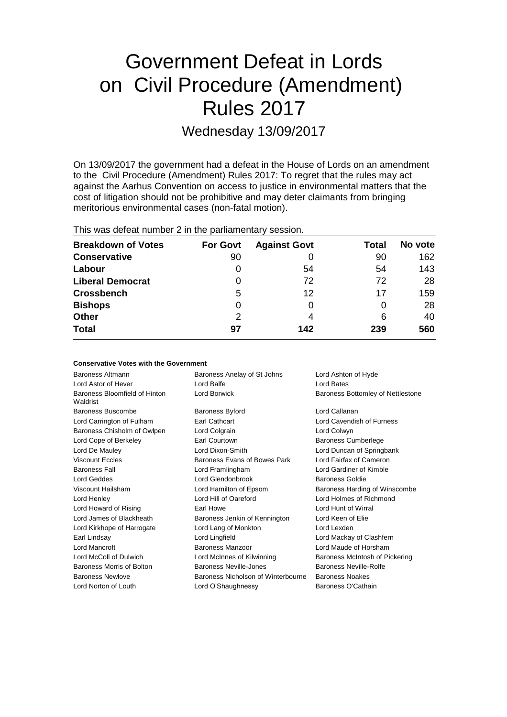# Government Defeat in Lords on Civil Procedure (Amendment) Rules 2017 Wednesday 13/09/2017

On 13/09/2017 the government had a defeat in the House of Lords on an amendment to the Civil Procedure (Amendment) Rules 2017: To regret that the rules may act against the Aarhus Convention on access to justice in environmental matters that the cost of litigation should not be prohibitive and may deter claimants from bringing meritorious environmental cases (non-fatal motion).

| This was defeat number 2 in the parliamentary session. |  |                              |  |
|--------------------------------------------------------|--|------------------------------|--|
| <b>Breakdown of Votes</b>                              |  | <b>For Govt</b> Against Govt |  |

| <b>Breakdown of Votes</b> | <b>For Govt</b> | <b>Against Govt</b> | <b>Total</b> | No vote |
|---------------------------|-----------------|---------------------|--------------|---------|
| <b>Conservative</b>       | 90              |                     | 90           | 162     |
| Labour                    | 0               | 54                  | 54           | 143     |
| <b>Liberal Democrat</b>   | 0               | 72                  | 72           | 28      |
| <b>Crossbench</b>         | 5               | 12                  | 17           | 159     |
| <b>Bishops</b>            | 0               |                     | 0            | 28      |
| <b>Other</b>              | 2               | 4                   | 6            | 40      |
| <b>Total</b>              | 97              | 142                 | 239          | 560     |
|                           |                 |                     |              |         |

| <b>Conservative Votes with the Government</b> |                                    |                                   |  |
|-----------------------------------------------|------------------------------------|-----------------------------------|--|
| Baroness Altmann                              | Baroness Anelay of St Johns        | Lord Ashton of Hyde               |  |
| Lord Astor of Hever                           | Lord Balfe                         | <b>Lord Bates</b>                 |  |
| Baroness Bloomfield of Hinton<br>Waldrist     | Lord Borwick                       | Baroness Bottomley of Nettlestone |  |
| Baroness Buscombe                             | Baroness Byford                    | Lord Callanan                     |  |
| Lord Carrington of Fulham                     | Earl Cathcart                      | Lord Cavendish of Furness         |  |
| Baroness Chisholm of Owlpen                   | Lord Colgrain                      | Lord Colwyn                       |  |
| Lord Cope of Berkeley                         | Earl Courtown                      | <b>Baroness Cumberlege</b>        |  |
| Lord De Mauley                                | Lord Dixon-Smith                   | Lord Duncan of Springbank         |  |
| <b>Viscount Eccles</b>                        | Baroness Evans of Bowes Park       | Lord Fairfax of Cameron           |  |
| <b>Baroness Fall</b>                          | Lord Framlingham                   | Lord Gardiner of Kimble           |  |
| Lord Geddes                                   | Lord Glendonbrook                  | Baroness Goldie                   |  |
| Viscount Hailsham                             | Lord Hamilton of Epsom             | Baroness Harding of Winscombe     |  |
| Lord Henley                                   | Lord Hill of Oareford              | Lord Holmes of Richmond           |  |
| Lord Howard of Rising                         | Earl Howe                          | Lord Hunt of Wirral               |  |
| Lord James of Blackheath                      | Baroness Jenkin of Kennington      | Lord Keen of Elie                 |  |
| Lord Kirkhope of Harrogate                    | Lord Lang of Monkton               | Lord Lexden                       |  |
| Earl Lindsay                                  | Lord Lingfield                     | Lord Mackay of Clashfern          |  |
| Lord Mancroft                                 | Baroness Manzoor                   | Lord Maude of Horsham             |  |
| Lord McColl of Dulwich                        | Lord McInnes of Kilwinning         | Baroness McIntosh of Pickering    |  |
| Baroness Morris of Bolton                     | Baroness Neville-Jones             | Baroness Neville-Rolfe            |  |
| <b>Baroness Newlove</b>                       | Baroness Nicholson of Winterbourne | <b>Baroness Noakes</b>            |  |
| Lord Norton of Louth                          | Lord O'Shaughnessy                 | Baroness O'Cathain                |  |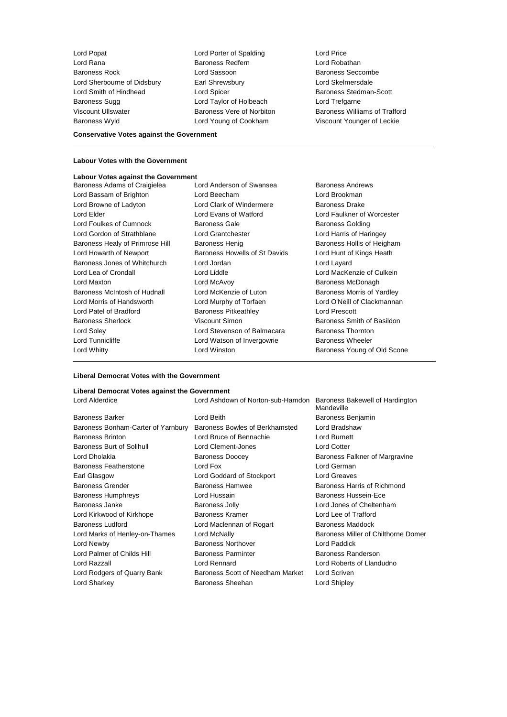Lord Popat Lord Porter of Spalding Lord Price Baroness Rock **Lord Sassoon** Baroness Seccombe Lord Sherbourne of Didsbury **Earl Shrewsbury Communist Constructs** Lord Skelmersdale Lord Smith of Hindhead Lord Spicer Baroness Stedman-Scott Baroness Sugg **Lord Taylor of Holbeach** Lord Trefgarne

Baroness Redfern

**Conservative Votes against the Government**

#### **Labour Votes with the Government**

## **Labour Votes against the Government**

- Lord Bassam of Brighton **Lord Beecham** Lord Brookman Lord Browne of Ladyton **Lord Clark of Windermere** Baroness Drake Lord Elder Lord Evans of Watford Lord Faulkner of Worcester Lord Foulkes of Cumnock Baroness Gale Baroness Golding Lord Gordon of Strathblane Lord Grantchester **Lord Harris of Haringey** Baroness Healy of Primrose Hill Baroness Henig Baroness Hollis of Heigham Lord Howarth of Newport **Baroness Howells of St Davids** Lord Hunt of Kings Heath Baroness Jones of Whitchurch Lord Jordan Lord Layard Lord Lea of Crondall **Lord Liddle** Lord Liddle Lord MacKenzie of Culkein Lord Maxton **Lord McAvoy Baroness McDonagh Lord McAvoy Baroness McDonagh** Baroness McIntosh of Hudnall Lord McKenzie of Luton Baroness Morris of Yardley Lord Morris of Handsworth Lord Murphy of Torfaen Lord O'Neill of Clackmannan Lord Patel of Bradford **Baroness Pitkeathley Baroness Provides** Lord Prescott Baroness Sherlock **Martings** Viscount Simon **Baroness Smith of Basildon** Lord Soley **Lord Stevenson of Balmacara** Baroness Thornton Lord Tunnicliffe **Lord Watson of Invergowrie** Baroness Wheeler Lord Whitty **Lord Winston Baroness Young of Old Scone**
- Baroness Adams of Craigielea Lord Anderson of Swansea Baroness Andrews
- Viscount Ullswater **Baroness Vere of Norbiton** Baroness Williams of Trafford Baroness Wyld Lord Young of Cookham Viscount Younger of Leckie

#### **Liberal Democrat Votes with the Government**

## **Liberal Democrat Votes against the Government**

| Liberal Democrat votes against the Oovernment |                                   |                                               |
|-----------------------------------------------|-----------------------------------|-----------------------------------------------|
| Lord Alderdice                                | Lord Ashdown of Norton-sub-Hamdon | Baroness Bakewell of Hardington<br>Mandeville |
| <b>Baroness Barker</b>                        | Lord Beith                        | Baroness Benjamin                             |
| Baroness Bonham-Carter of Yarnbury            | Baroness Bowles of Berkhamsted    | Lord Bradshaw                                 |
| <b>Baroness Brinton</b>                       | Lord Bruce of Bennachie           | <b>Lord Burnett</b>                           |
| <b>Baroness Burt of Solihull</b>              | Lord Clement-Jones                | <b>Lord Cotter</b>                            |
| Lord Dholakia                                 | <b>Baroness Doocey</b>            | Baroness Falkner of Margravine                |
| <b>Baroness Featherstone</b>                  | Lord Fox                          | Lord German                                   |
| Earl Glasgow                                  | Lord Goddard of Stockport         | <b>Lord Greaves</b>                           |
| <b>Baroness Grender</b>                       | Baroness Hamwee                   | Baroness Harris of Richmond                   |
| <b>Baroness Humphreys</b>                     | Lord Hussain                      | <b>Baroness Hussein-Ece</b>                   |
| Baroness Janke                                | <b>Baroness Jolly</b>             | Lord Jones of Cheltenham                      |
| Lord Kirkwood of Kirkhope                     | <b>Baroness Kramer</b>            | Lord Lee of Trafford                          |
| <b>Baroness Ludford</b>                       | Lord Maclennan of Rogart          | <b>Baroness Maddock</b>                       |
| Lord Marks of Henley-on-Thames                | Lord McNally                      | Baroness Miller of Chilthorne Domer           |
| Lord Newby                                    | <b>Baroness Northover</b>         | Lord Paddick                                  |
| Lord Palmer of Childs Hill                    | <b>Baroness Parminter</b>         | <b>Baroness Randerson</b>                     |
| Lord Razzall                                  | Lord Rennard                      | Lord Roberts of Llandudno                     |
| Lord Rodgers of Quarry Bank                   | Baroness Scott of Needham Market  | Lord Scriven                                  |
| Lord Sharkey                                  | Baroness Sheehan                  | Lord Shipley                                  |